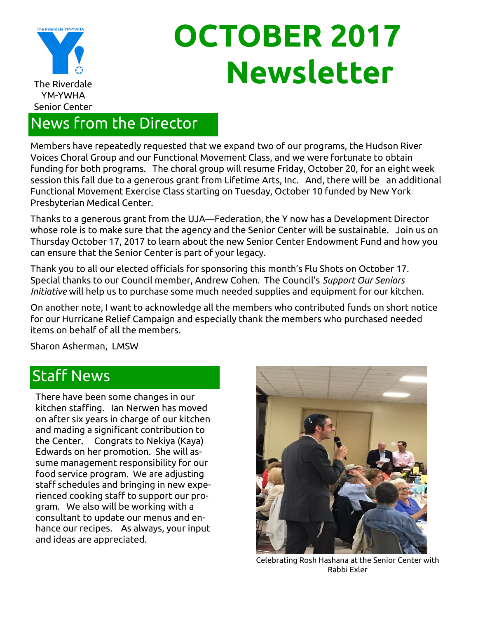

# **OCTOBER 2017 The Riverdale**

### News from the Director

Members have repeatedly requested that we expand two of our programs, the Hudson River Voices Choral Group and our Functional Movement Class, and we were fortunate to obtain funding for both programs. The choral group will resume Friday, October 20, for an eight week session this fall due to a generous grant from Lifetime Arts, Inc. And, there will be an additional Functional Movement Exercise Class starting on Tuesday, October 10 funded by New York Presbyterian Medical Center.

Thanks to a generous grant from the UJA—Federation, the Y now has a Development Director whose role is to make sure that the agency and the Senior Center will be sustainable. Join us on Thursday October 17, 2017 to learn about the new Senior Center Endowment Fund and how you can ensure that the Senior Center is part of your legacy.

Thank you to all our elected officials for sponsoring this month's Flu Shots on October 17. Special thanks to our Council member, Andrew Cohen. The Council's *Support Our Seniors Initiative* will help us to purchase some much needed supplies and equipment for our kitchen.

On another note, I want to acknowledge all the members who contributed funds on short notice for our Hurricane Relief Campaign and especially thank the members who purchased needed items on behalf of all the members.

Sharon Asherman, LMSW

### Staff News

There have been some changes in our kitchen staffing. Ian Nerwen has moved on after six years in charge of our kitchen and mading a significant contribution to the Center. Congrats to Nekiya (Kaya) Edwards on her promotion. She will assume management responsibility for our food service program. We are adjusting staff schedules and bringing in new experienced cooking staff to support our program. We also will be working with a consultant to update our menus and enhance our recipes. As always, your input and ideas are appreciated.



Celebrating Rosh Hashana at the Senior Center with Rabbi Exler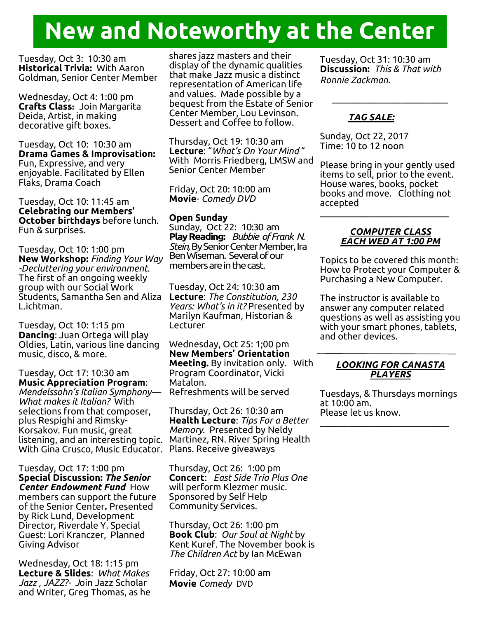## **New and Noteworthy at the Center**

Tuesday, Oct 3: 10:30 am **Historical Trivia:** With Aaron Goldman, Senior Center Member

Wednesday, Oct 4: 1:00 pm **Crafts Class:** Join Margarita Deida, Artist, in making decorative gift boxes.

Tuesday, Oct 10: 10:30 am **Drama Games & Improvisation:**  Fun, Expressive, and very enjoyable. Facilitated by Ellen Flaks, Drama Coach

Tuesday, Oct 10: 11:45 am **Celebrating our Members' October birthdays** before lunch. Fun & surprises.

Tuesday, Oct 10: 1:00 pm **New Workshop:** *Finding Your Way -Decluttering your environment*. The first of an ongoing weekly group with our Social Work Students, Samantha Sen and Aliza L.ichtman.

Tuesday, Oct 10: 1:15 pm **Dancing**: Juan Ortega will play Oldies, Latin, various line dancing music, disco, & more.

Tuesday, Oct 17: 10:30 am **Music Appreciation Program**: *Mendelssohn's Italian Symphony— What makes it Italian?* With selections from that composer, plus Respighi and Rimsky-Korsakov. Fun music, great listening, and an interesting topic. Martinez, RN. River Spring Health With Gina Crusco, Music Educator. Plans. Receive giveaways

Tuesday, Oct 17: 1:00 pm **Special Discussion:** *The Senior Center Endowment Fund* How members can support the future of the Senior Center**.** Presented by Rick Lund, Development Director, Riverdale Y. Special Guest: Lori Kranczer, Planned Giving Advisor

Wednesday, Oct 18: 1:15 pm **Lecture & Slides**: *What Makes Jazz , JAZZ?- J*oin Jazz Scholar and Writer, Greg Thomas, as he shares jazz masters and their display of the dynamic qualities that make Jazz music a distinct representation of American life and values. Made possible by a bequest from the Estate of Senior Center Member, Lou Levinson. Dessert and Coffee to follow.

Thursday, Oct 19: 10:30 am **Lecture**: "*What's On Your Mind* " With Morris Friedberg, LMSW and Senior Center Member

Friday, Oct 20: 10:00 am **Movie**- *Comedy DVD*

### **Open Sunday**

Sunday, Oct 22: 10:30 am **Play Reading:** *Bubbie of Frank N. Stein,* By Senior Center Member, Ira Ben Wiseman. Several of our members are in the cast.

Tuesday, Oct 24: 10:30 am **Lecture**: *The Constitution, 230 Years: What's in it?* Presented by Marilyn Kaufman, Historian & Lecturer

Wednesday, Oct 25: 1;00 pm **New Members' Orientation Meeting.** By invitation only. With Program Coordinator, Vicki Matalon. Refreshments will be served

Thursday, Oct 26: 10:30 am **Health Lecture**: *Tips For a Better Memory*. Presented by Neldy

Thursday, Oct 26: 1:00 pm **Concert**: *East Side Trio Plus One*  will perform Klezmer music. Sponsored by Self Help Community Services.

Thursday, Oct 26: 1:00 pm **Book Club**: *Our Soul at Night* by Kent Kuref. The November book is *The Children Act* by Ian McEwan

Friday, Oct 27: 10:00 am **Movie** *Comedy* DVD

Tuesday, Oct 31: 10:30 am **Discussion:** *This & That with Ronnie Zackman.*

*\_\_\_\_\_\_\_\_\_\_\_\_\_\_\_\_\_\_\_\_\_\_\_\_\_*

#### *TAG SALE:*

Sunday, Oct 22, 2017 Time: 10 to 12 noon

Please bring in your gently used items to sell, prior to the event. House wares, books, pocket books and move. Clothing not accepted  $\_$ 

#### *COMPUTER CLASS EACH WED AT 1:00 PM*

Topics to be covered this month: How to Protect your Computer & Purchasing a New Computer.

The instructor is available to answer any computer related questions as well as assisting you with your smart phones, tablets, and other devices.

#### *LOOKING FOR CANASTA PLAYERS*

Tuesdays, & Thursdays mornings at 10:00 am. Please let us know.  $\mathcal{L}_\text{max}$  and  $\mathcal{L}_\text{max}$  and  $\mathcal{L}_\text{max}$  and  $\mathcal{L}_\text{max}$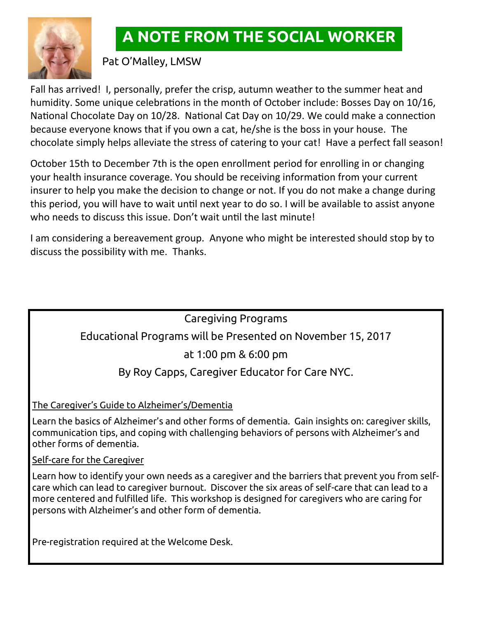

### **A NOTE FROM THE SOCIAL WORKER**

Pat O'Malley, LMSW

Fall has arrived! I, personally, prefer the crisp, autumn weather to the summer heat and humidity. Some unique celebrations in the month of October include: Bosses Day on 10/16, National Chocolate Day on 10/28. National Cat Day on 10/29. We could make a connection because everyone knows that if you own a cat, he/she is the boss in your house. The chocolate simply helps alleviate the stress of catering to your cat! Have a perfect fall season!

October 15th to December 7th is the open enrollment period for enrolling in or changing your health insurance coverage. You should be receiving information from your current insurer to help you make the decision to change or not. If you do not make a change during this period, you will have to wait until next year to do so. I will be available to assist anyone who needs to discuss this issue. Don't wait until the last minute!

I am considering a bereavement group. Anyone who might be interested should stop by to discuss the possibility with me. Thanks.

### Caregiving Programs

### Educational Programs will be Presented on November 15, 2017

### at 1:00 pm & 6:00 pm

### By Roy Capps, Caregiver Educator for Care NYC.

The Caregiver's Guide to Alzheimer's/Dementia

Learn the basics of Alzheimer's and other forms of dementia. Gain insights on: caregiver skills, communication tips, and coping with challenging behaviors of persons with Alzheimer's and other forms of dementia.

### Self-care for the Caregiver

Learn how to identify your own needs as a caregiver and the barriers that prevent you from selfcare which can lead to caregiver burnout. Discover the six areas of self-care that can lead to a more centered and fulfilled life. This workshop is designed for caregivers who are caring for persons with Alzheimer's and other form of dementia.

Pre-registration required at the Welcome Desk.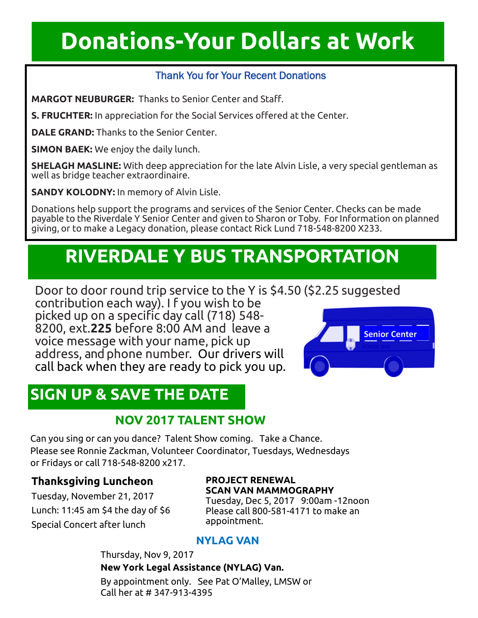## **Donations-Your Dollars at Work**

### Thank You for Your Recent Donations

**MARGOT NEUBURGER:** Thanks to Senior Center and Staff.

**S. FRUCHTER:** In appreciation for the Social Services offered at the Center.

**DALE GRAND:** Thanks to the Senior Center.

**SIMON BAEK:** We enjoy the daily lunch.

**SHELAGH MASLINE:** With deep appreciation for the late Alvin Lisle, a very special gentleman as well as bridge teacher extraordinaire.

**SANDY KOLODNY:** In memory of Alvin Lisle.

Donations help support the programs and services of the Senior Center. Checks can be made payable to the Riverdale Y Senior Center and given to Sharon or Toby. ForInformation on planned giving, or to make a Legacy donation, please contact Rick Lund 718-548-8200 X233.

### **RIVERDALE Y BUS TRANSPORTATION**

Door to door round trip service to the Y is \$4.50 (\$2.25 suggested

contribution each way). I f you wish to be picked up on a specific day call (718) 548- 8200, ext.**225** before 8:00 AM and leave a voice message with your name, pick up address, and phone number. Our drivers will call back when they are ready to pick you up.

### **SIGN UP & SAVE THE DATE**

### **NOV 2017 TALENT SHOW**

Can you sing or can you dance? Talent Show coming. Take a Chance. Please see Ronnie Zackman, Volunteer Coordinator, Tuesdays, Wednesdays or Fridays or call 718-548-8200 x217.

### **Thanksgiving Luncheon**

Tuesday, November 21, 2017 Lunch: 11:45 am \$4 the day of \$6 Special Concert after lunch

#### **PROJECT RENEWAL SCAN VAN MAMMOGRAPHY**

Tuesday, Dec 5, 2017 9:00am -12noon Please call 800-581-4171 to make an appointment.

### **NYLAG VAN**

Thursday, Nov 9, 2017 **New York Legal Assistance (NYLAG) Van.**  By appointment only. See Pat O'Malley, LMSW or Call her at # 347-913-4395

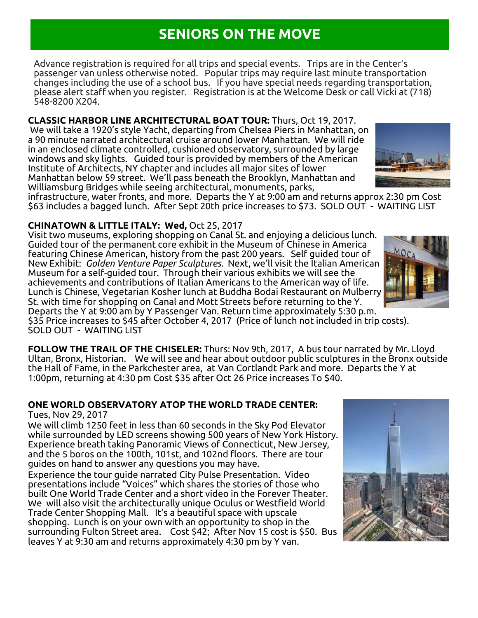### **SENIORS ON THE MOVE**

Advance registration is required for all trips and special events. Trips are in the Center's passenger van unless otherwise noted. Popular trips may require last minute transportation changes including the use of a school bus. If you have special needs regarding transportation, please alert staff when you register. Registration is at the Welcome Desk or call Vicki at (718) 548-8200 X204.

**CLASSIC HARBOR LINE ARCHITECTURAL BOAT TOUR:** Thurs, Oct 19, 2017. We will take a 1920's style Yacht, departing from Chelsea Piers in Manhattan, on a 90 minute narrated architectural cruise around lower Manhattan. We will ride in an enclosed climate controlled, cushioned observatory, surrounded by large windows and sky lights. Guided tour is provided by members of the American Institute of Architects, NY chapter and includes all major sites of lower Manhattan below 59 street. We'll pass beneath the Brooklyn, Manhattan and Williamsburg Bridges while seeing architectural, monuments, parks,

infrastructure, water fronts, and more. Departs the Y at 9:00 am and returns approx 2:30 pm Cost \$63 includes a bagged lunch. After Sept 20th price increases to \$73. SOLD OUT - WAITING LIST

#### **CHINATOWN & LITTLE ITALY: Wed,** Oct 25, 2017

Visit two museums, exploring shopping on Canal St. and enjoying a delicious lunch. Guided tour of the permanent core exhibit in the Museum of Chinese in America featuring Chinese American, history from the past 200 years. Self guided tour of New Exhibit: *Golden Venture Paper Sculptures.* Next, we'll visit the Italian American Museum for a self-guided tour. Through their various exhibits we will see the achievements and contributions of Italian Americans to the American way of life. Lunch is Chinese, Vegetarian Kosher lunch at Buddha Bodai Restaurant on Mulberry St. with time for shopping on Canal and Mott Streets before returning to the Y. Departs the Y at 9:00 am by Y Passenger Van. Return time approximately 5:30 p.m. \$35 Price increases to \$45 after October 4, 2017 (Price of lunch not included in trip costs). SOLD OUT - WAITING LIST

**FOLLOW THE TRAIL OF THE CHISELER:** Thurs: Nov 9th, 2017, A bus tour narrated by Mr. Lloyd Ultan, Bronx, Historian. We will see and hear about outdoor public sculptures in the Bronx outside the Hall of Fame, in the Parkchester area, at Van Cortlandt Park and more. Departs the Y at 1:00pm, returning at 4:30 pm Cost \$35 after Oct 26 Price increases To \$40.

### **ONE WORLD OBSERVATORY ATOP THE WORLD TRADE CENTER:**

Tues, Nov 29, 2017

We will climb 1250 feet in less than 60 seconds in the Sky Pod Elevator while surrounded by LED screens showing 500 years of New York History. Experience breath taking Panoramic Views of Connecticut, New Jersey, and the 5 boros on the 100th, 101st, and 102nd floors. There are tour guides on hand to answer any questions you may have.

Experience the tour guide narrated City Pulse Presentation. Video presentations include "Voices" which shares the stories of those who built One World Trade Center and a short video in the Forever Theater. We will also visit the architecturally unique Oculus or Westfield World Trade Center Shopping Mall. It's a beautiful space with upscale shopping. Lunch is on your own with an opportunity to shop in the surrounding Fulton Street area. Cost \$42; After Nov 15 cost is \$50. Bus leaves Y at 9:30 am and returns approximately 4:30 pm by Y van.





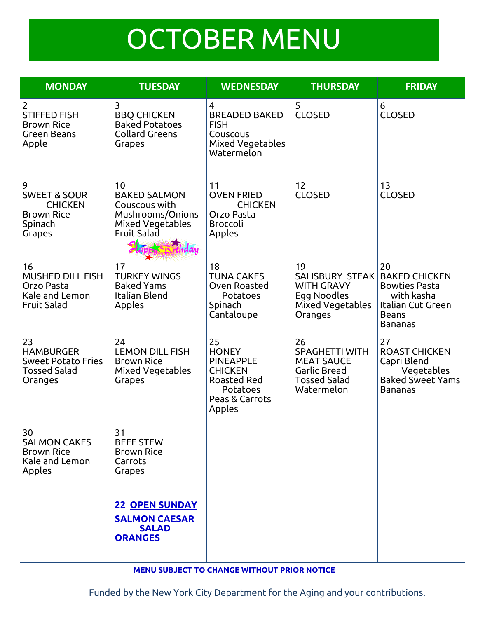# OCTOBER MENU

| <b>MONDAY</b>                                                                            | <b>TUESDAY</b>                                                                                                   | <b>WEDNESDAY</b>                                                                                                       | <b>THURSDAY</b>                                                                                       | <b>FRIDAY</b>                                                                                             |
|------------------------------------------------------------------------------------------|------------------------------------------------------------------------------------------------------------------|------------------------------------------------------------------------------------------------------------------------|-------------------------------------------------------------------------------------------------------|-----------------------------------------------------------------------------------------------------------|
| $\overline{2}$<br><b>STIFFED FISH</b><br><b>Brown Rice</b><br>Green Beans<br>Apple       | 3<br><b>BBQ CHICKEN</b><br><b>Baked Potatoes</b><br><b>Collard Greens</b><br>Grapes                              | 4<br><b>BREADED BAKED</b><br><b>FISH</b><br>Couscous<br><b>Mixed Vegetables</b><br>Watermelon                          | 5<br><b>CLOSED</b>                                                                                    | 6<br><b>CLOSED</b>                                                                                        |
| 9<br><b>SWEET &amp; SOUR</b><br><b>CHICKEN</b><br><b>Brown Rice</b><br>Spinach<br>Grapes | 10<br><b>BAKED SALMON</b><br>Couscous with<br>Mushrooms/Onions<br>Mixed Vegetables<br><b>Fruit Salad</b><br>hday | 11<br><b>OVEN FRIED</b><br><b>CHICKEN</b><br>Orzo Pasta<br><b>Broccoli</b><br>Apples                                   | 12<br><b>CLOSED</b>                                                                                   | 13<br><b>CLOSED</b>                                                                                       |
| 16<br><b>MUSHED DILL FISH</b><br>Orzo Pasta<br>Kale and Lemon<br><b>Fruit Salad</b>      | 17<br><b>TURKEY WINGS</b><br><b>Baked Yams</b><br>Italian Blend<br>Apples                                        | 18<br><b>TUNA CAKES</b><br>Oven Roasted<br>Potatoes<br>Spinach<br>Cantaloupe                                           | 19<br><b>SALISBURY STEAK</b><br><b>WITH GRAVY</b><br>Egg Noodles<br>Mixed Vegetables<br>Oranges       | 20<br><b>BAKED CHICKEN</b><br><b>Bowties Pasta</b><br>with kasha<br>Italian Cut Green<br>Beans<br>Bananas |
| 23<br><b>HAMBURGER</b><br><b>Sweet Potato Fries</b><br><b>Tossed Salad</b><br>Oranges    | 24<br><b>LEMON DILL FISH</b><br><b>Brown Rice</b><br>Mixed Vegetables<br>Grapes                                  | 25<br><b>HONEY</b><br><b>PINEAPPLE</b><br><b>CHICKEN</b><br><b>Roasted Red</b><br>Potatoes<br>Peas & Carrots<br>Apples | 26<br><b>SPAGHETTI WITH</b><br><b>MEAT SAUCE</b><br>Garlic Bread<br><b>Tossed Salad</b><br>Watermelon | 27<br><b>ROAST CHICKEN</b><br>Capri Blend<br>Vegetables<br><b>Baked Sweet Yams</b><br><b>Bananas</b>      |
| 30<br><b>SALMON CAKES</b><br><b>Brown Rice</b><br>Kale and Lemon<br>Apples               | 31<br><b>BEEF STEW</b><br><b>Brown Rice</b><br>Carrots<br>Grapes                                                 |                                                                                                                        |                                                                                                       |                                                                                                           |
|                                                                                          | <b>22 OPEN SUNDAY</b><br><b>SALMON CAESAR</b><br><b>SALAD</b><br><b>ORANGES</b>                                  |                                                                                                                        |                                                                                                       |                                                                                                           |

**MENU SUBJECT TO CHANGE WITHOUT PRIOR NOTICE**

Funded by the New York City Department for the Aging and your contributions.